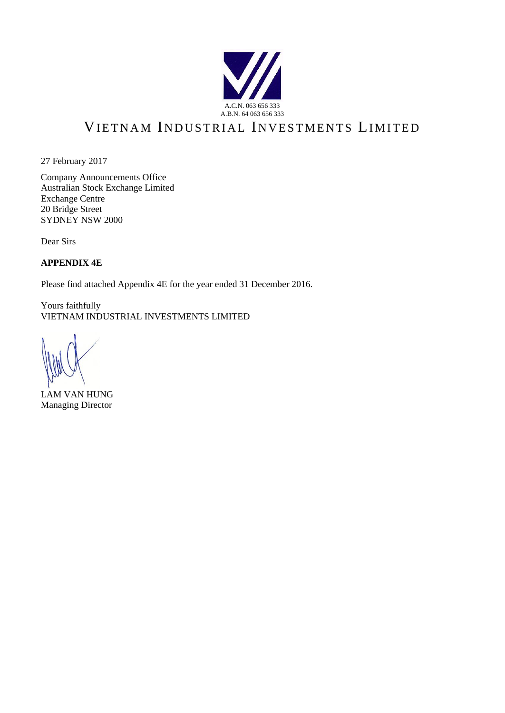

# VIETNAM INDUSTRIAL INVESTMENTS LIMITED

27 February 2017

Company Announcements Office Australian Stock Exchange Limited Exchange Centre 20 Bridge Street SYDNEY NSW 2000

Dear Sirs

**APPENDIX 4E**

Please find attached Appendix 4E for the year ended 31 December 2016.

Yours faithfully VIETNAM INDUSTRIAL INVESTMENTS LIMITED

LAM VAN HUNG Managing Director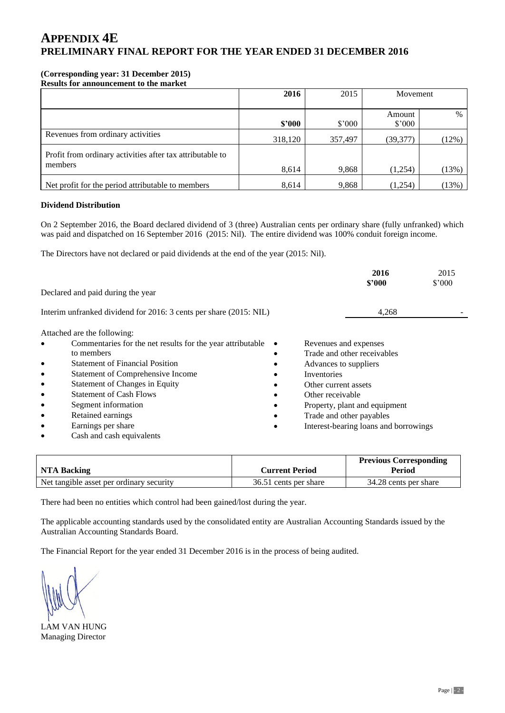### **(Corresponding year: 31 December 2015)**

**Results for announcement to the market**

|                                                           | 2016    | 2015            | Movement       |       |
|-----------------------------------------------------------|---------|-----------------|----------------|-------|
|                                                           |         |                 |                |       |
|                                                           |         |                 | Amount         | $\%$  |
|                                                           | \$2000  | $$^{\prime}000$ | $$^{\circ}000$ |       |
| Revenues from ordinary activities                         | 318,120 | 357,497         | (39, 377)      | (12%) |
| Profit from ordinary activities after tax attributable to |         |                 |                |       |
| members                                                   | 8,614   | 9,868           | (1,254)        | (13%) |
| Net profit for the period attributable to members         | 8,614   | 9,868           | (1,254)        | (13%) |

#### **Dividend Distribution**

On 2 September 2016, the Board declared dividend of 3 (three) Australian cents per ordinary share (fully unfranked) which was paid and dispatched on 16 September 2016 (2015: Nil). The entire dividend was 100% conduit foreign income.

The Directors have not declared or paid dividends at the end of the year (2015: Nil).

|           |                                                                    | 2016<br>\$2000                        | 2015<br>$$^{\circ}000$ |
|-----------|--------------------------------------------------------------------|---------------------------------------|------------------------|
|           | Declared and paid during the year                                  |                                       |                        |
|           | Interim unfranked dividend for 2016: 3 cents per share (2015: NIL) | 4,268                                 |                        |
|           | Attached are the following:                                        |                                       |                        |
| $\bullet$ | Commentaries for the net results for the year attributable         | Revenues and expenses                 |                        |
|           | to members                                                         | Trade and other receivables           |                        |
| ٠         | <b>Statement of Financial Position</b>                             | Advances to suppliers                 |                        |
| $\bullet$ | Statement of Comprehensive Income                                  | Inventories                           |                        |
| $\bullet$ | <b>Statement of Changes in Equity</b>                              | Other current assets                  |                        |
| $\bullet$ | <b>Statement of Cash Flows</b>                                     | Other receivable                      |                        |
| $\bullet$ | Segment information                                                | Property, plant and equipment         |                        |
| ٠         | Retained earnings                                                  | Trade and other payables              |                        |
| ٠         | Earnings per share                                                 | Interest-bearing loans and borrowings |                        |
| ٠         | Cash and cash equivalents                                          |                                       |                        |

|                                          |                       | <b>Previous Corresponding</b> |
|------------------------------------------|-----------------------|-------------------------------|
| <b>NTA Backing</b>                       | <b>Current Period</b> | Period                        |
| Net tangible asset per ordinary security | 36.51 cents per share | 34.28 cents per share         |

There had been no entities which control had been gained/lost during the year.

The applicable accounting standards used by the consolidated entity are Australian Accounting Standards issued by the Australian Accounting Standards Board.

The Financial Report for the year ended 31 December 2016 is in the process of being audited.

LAM VAN HUNG Managing Director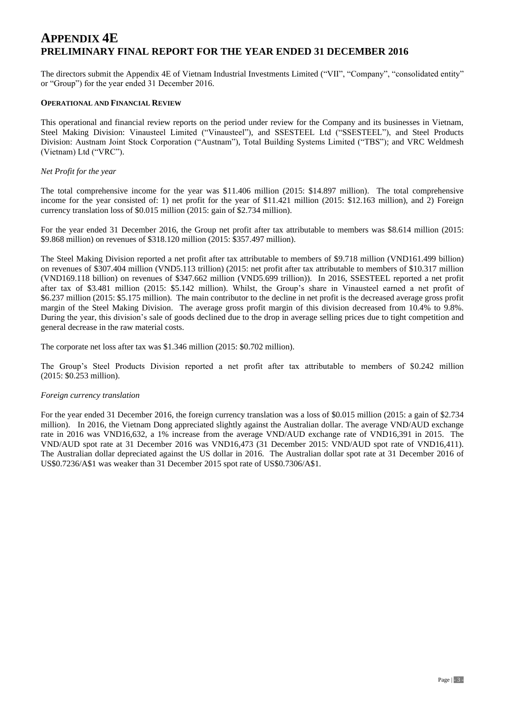The directors submit the Appendix 4E of Vietnam Industrial Investments Limited ("VII", "Company", "consolidated entity" or "Group") for the year ended 31 December 2016.

#### **OPERATIONAL AND FINANCIAL REVIEW**

This operational and financial review reports on the period under review for the Company and its businesses in Vietnam, Steel Making Division: Vinausteel Limited ("Vinausteel"), and SSESTEEL Ltd ("SSESTEEL"), and Steel Products Division: Austnam Joint Stock Corporation ("Austnam"), Total Building Systems Limited ("TBS"); and VRC Weldmesh (Vietnam) Ltd ("VRC").

#### *Net Profit for the year*

The total comprehensive income for the year was \$11.406 million (2015: \$14.897 million). The total comprehensive income for the year consisted of: 1) net profit for the year of \$11.421 million (2015: \$12.163 million), and 2) Foreign currency translation loss of \$0.015 million (2015: gain of \$2.734 million).

For the year ended 31 December 2016, the Group net profit after tax attributable to members was \$8.614 million (2015: \$9.868 million) on revenues of \$318.120 million (2015: \$357.497 million).

The Steel Making Division reported a net profit after tax attributable to members of \$9.718 million (VND161.499 billion) on revenues of \$307.404 million (VND5.113 trillion) (2015: net profit after tax attributable to members of \$10.317 million (VND169.118 billion) on revenues of \$347.662 million (VND5.699 trillion)). In 2016, SSESTEEL reported a net profit after tax of \$3.481 million (2015: \$5.142 million). Whilst, the Group's share in Vinausteel earned a net profit of \$6.237 million (2015: \$5.175 million). The main contributor to the decline in net profit is the decreased average gross profit margin of the Steel Making Division. The average gross profit margin of this division decreased from 10.4% to 9.8%. During the year, this division's sale of goods declined due to the drop in average selling prices due to tight competition and general decrease in the raw material costs.

The corporate net loss after tax was \$1.346 million (2015: \$0.702 million).

The Group's Steel Products Division reported a net profit after tax attributable to members of \$0.242 million (2015: \$0.253 million).

#### *Foreign currency translation*

For the year ended 31 December 2016, the foreign currency translation was a loss of \$0.015 million (2015: a gain of \$2.734 million). In 2016, the Vietnam Dong appreciated slightly against the Australian dollar. The average VND/AUD exchange rate in 2016 was VND16,632, a 1% increase from the average VND/AUD exchange rate of VND16,391 in 2015. The VND/AUD spot rate at 31 December 2016 was VND16,473 (31 December 2015: VND/AUD spot rate of VND16,411). The Australian dollar depreciated against the US dollar in 2016. The Australian dollar spot rate at 31 December 2016 of US\$0.7236/A\$1 was weaker than 31 December 2015 spot rate of US\$0.7306/A\$1.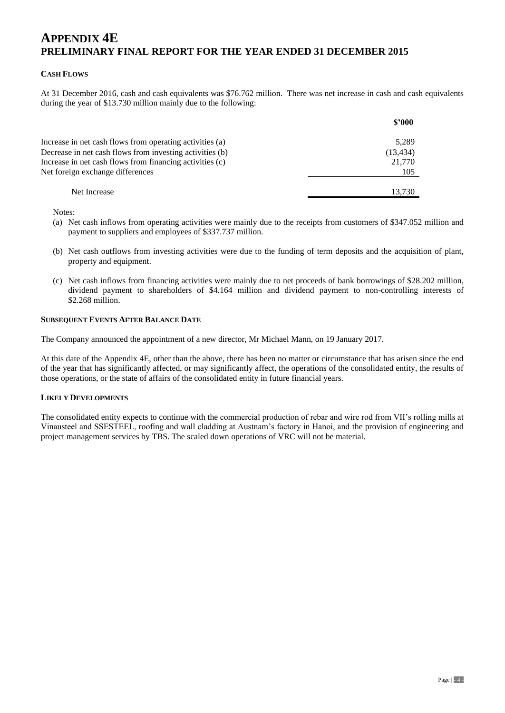#### **CASH FLOWS**

At 31 December 2016, cash and cash equivalents was \$76.762 million. There was net increase in cash and cash equivalents during the year of \$13.730 million mainly due to the following:

|                                                          | \$3000    |
|----------------------------------------------------------|-----------|
| Increase in net cash flows from operating activities (a) | 5,289     |
| Decrease in net cash flows from investing activities (b) | (13, 434) |
| Increase in net cash flows from financing activities (c) | 21,770    |
| Net foreign exchange differences                         | 105       |
| Net Increase                                             | 13.730    |

Notes:

- (a) Net cash inflows from operating activities were mainly due to the receipts from customers of \$347.052 million and payment to suppliers and employees of \$337.737 million.
- (b) Net cash outflows from investing activities were due to the funding of term deposits and the acquisition of plant, property and equipment.
- (c) Net cash inflows from financing activities were mainly due to net proceeds of bank borrowings of \$28.202 million, dividend payment to shareholders of \$4.164 million and dividend payment to non-controlling interests of \$2.268 million.

#### **SUBSEQUENT EVENTS AFTER BALANCE DATE**

The Company announced the appointment of a new director, Mr Michael Mann, on 19 January 2017.

At this date of the Appendix 4E, other than the above, there has been no matter or circumstance that has arisen since the end of the year that has significantly affected, or may significantly affect, the operations of the consolidated entity, the results of those operations, or the state of affairs of the consolidated entity in future financial years.

#### **LIKELY DEVELOPMENTS**

The consolidated entity expects to continue with the commercial production of rebar and wire rod from VII's rolling mills at Vinausteel and SSESTEEL, roofing and wall cladding at Austnam's factory in Hanoi, and the provision of engineering and project management services by TBS. The scaled down operations of VRC will not be material.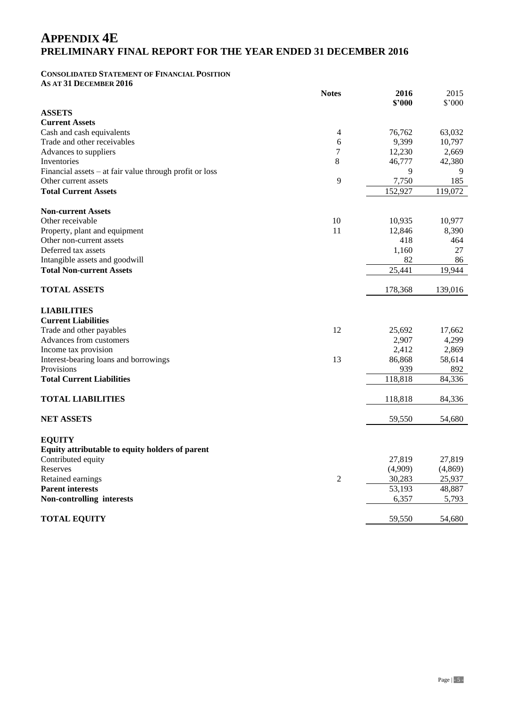#### **CONSOLIDATED STATEMENT OF FINANCIAL POSITION AS AT 31 DECEMBER 2016**

 **Notes 2016 \$'000** 2015 \$'000 **ASSETS Current Assets** Cash and cash equivalents **63,032** 63,032 Trade and other receivables 6 9,399 10,797 Advances to suppliers 2,669 Inventories  $\begin{array}{cccccccccc} 8 & 46,777 & 42,380 \end{array}$ Financial assets – at fair value through profit or loss 9 9 9 9 9 9 9 9 9 9 9 185 Other current assets **Total Current Assets** 152,927 119,072 **Non-current Assets** Other receivable 10 10,935 10,977 Property, plant and equipment 11 12,846 8,390 Other non-current assets 418 464 Deferred tax assets 27 Intangible assets and goodwill a set of the set of the set of the set of the set of the set of the set of the set of the set of the set of the set of the set of the set of the set of the set of the set of the set of the se **Total Non-current Assets** 25,441 19,944 **TOTAL ASSETS** 178,368 139,016 **LIABILITIES Current Liabilities** Trade and other payables 12 25,692 17,662 Advances from customers 2,907 4,299 Income tax provision  $2.412 \t 2.869$ Interest-bearing loans and borrowings 13 86,868 58,614 Provisions 939 892 **Total Current Liabilities** 118,818 84,336 **TOTAL LIABILITIES** 84,336 **NET ASSETS** 59,550 54,680 **EQUITY Equity attributable to equity holders of parent** Contributed equity 27,819 27,819 27,819 Reserves (4,909)  $(4,869)$ Retained earnings 2 30,283 25,937 **Parent interests** 48,887 **Non-controlling interests** 6,357 5,793 **TOTAL EQUITY** 59,550 54,680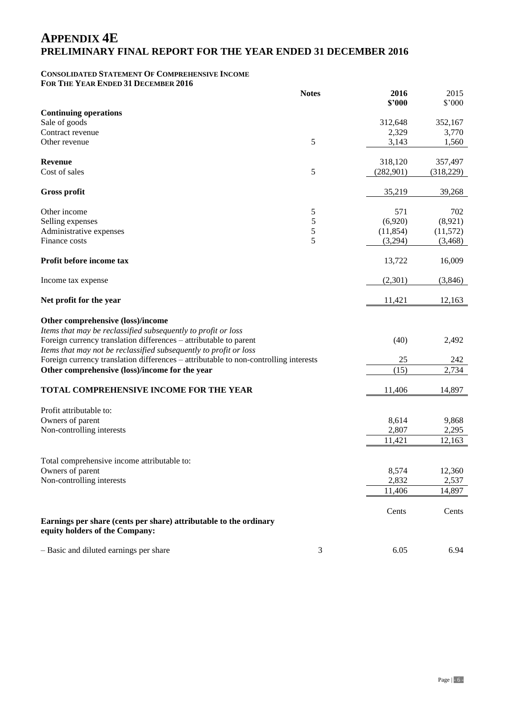#### **CONSOLIDATED STATEMENT OF COMPREHENSIVE INCOME FOR THE YEAR ENDED 31 DECEMBER 2016**

|                                                                                      | <b>Notes</b> | 2016       | 2015           |
|--------------------------------------------------------------------------------------|--------------|------------|----------------|
|                                                                                      |              | \$2000     | $$^{\circ}000$ |
| <b>Continuing operations</b><br>Sale of goods                                        |              | 312,648    | 352,167        |
| Contract revenue                                                                     |              | 2,329      | 3,770          |
| Other revenue                                                                        | 5            | 3,143      | 1,560          |
|                                                                                      |              |            |                |
| <b>Revenue</b>                                                                       |              | 318,120    | 357,497        |
| Cost of sales                                                                        | 5            | (282, 901) | (318, 229)     |
|                                                                                      |              |            |                |
| <b>Gross profit</b>                                                                  |              | 35,219     | 39,268         |
|                                                                                      |              |            |                |
| Other income                                                                         | 5            | 571        | 702            |
| Selling expenses                                                                     | 5            | (6,920)    | (8,921)        |
| Administrative expenses                                                              | 5            | (11, 854)  | (11, 572)      |
| Finance costs                                                                        | 5            | (3,294)    | (3,468)        |
| Profit before income tax                                                             |              | 13,722     | 16,009         |
|                                                                                      |              |            |                |
| Income tax expense                                                                   |              | (2,301)    | (3,846)        |
|                                                                                      |              |            |                |
| Net profit for the year                                                              |              | 11,421     | 12,163         |
|                                                                                      |              |            |                |
| Other comprehensive (loss)/income                                                    |              |            |                |
| Items that may be reclassified subsequently to profit or loss                        |              |            |                |
| Foreign currency translation differences - attributable to parent                    |              | (40)       | 2,492          |
| Items that may not be reclassified subsequently to profit or loss                    |              |            |                |
| Foreign currency translation differences - attributable to non-controlling interests |              | 25         | 242            |
| Other comprehensive (loss)/income for the year                                       |              | (15)       | 2,734          |
|                                                                                      |              |            |                |
| TOTAL COMPREHENSIVE INCOME FOR THE YEAR                                              |              | 11,406     | 14,897         |
|                                                                                      |              |            |                |
| Profit attributable to:                                                              |              |            |                |
| Owners of parent                                                                     |              | 8,614      | 9,868          |
| Non-controlling interests                                                            |              | 2,807      | 2,295          |
|                                                                                      |              | 11,421     | 12,163         |
|                                                                                      |              |            |                |
| Total comprehensive income attributable to:                                          |              |            |                |
| Owners of parent                                                                     |              | 8,574      | 12,360         |
| Non-controlling interests                                                            |              | 2,832      | 2,537          |
|                                                                                      |              | 11,406     | 14,897         |
|                                                                                      |              |            |                |
|                                                                                      |              | Cents      | Cents          |
| Earnings per share (cents per share) attributable to the ordinary                    |              |            |                |
| equity holders of the Company:                                                       |              |            |                |
| - Basic and diluted earnings per share                                               | 3            | 6.05       | 6.94           |
|                                                                                      |              |            |                |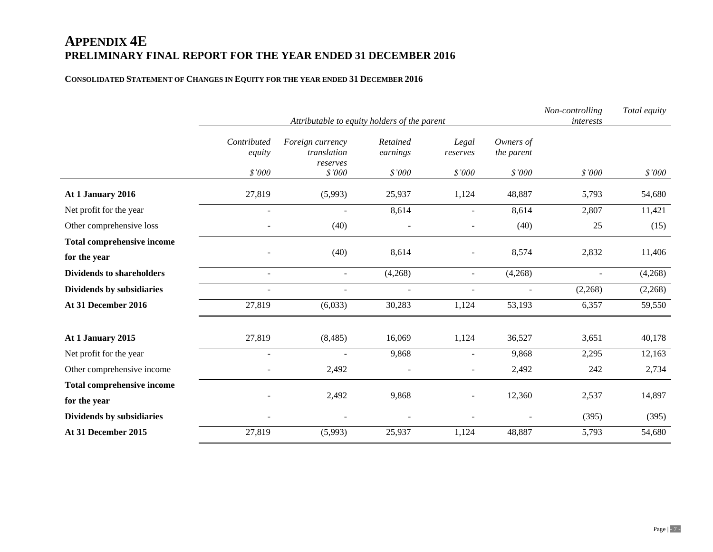#### **CONSOLIDATED STATEMENT OF CHANGES IN EQUITY FOR THE YEAR ENDED 31 DECEMBER 2016**

|                                   | Non-controlling<br>Attributable to equity holders of the parent |                                             |                          |                          |                         |                          | Total equity |
|-----------------------------------|-----------------------------------------------------------------|---------------------------------------------|--------------------------|--------------------------|-------------------------|--------------------------|--------------|
|                                   | Contributed<br>equity                                           | Foreign currency<br>translation<br>reserves | Retained<br>earnings     | Legal<br>reserves        | Owners of<br>the parent |                          |              |
|                                   | \$'000                                                          | \$'000                                      | \$'000                   | \$'000                   | \$'000                  | \$'000                   | \$'000       |
| At 1 January 2016                 | 27,819                                                          | (5,993)                                     | 25,937                   | 1,124                    | 48,887                  | 5,793                    | 54,680       |
| Net profit for the year           | $\sim$                                                          |                                             | 8,614                    | ÷,                       | 8,614                   | 2,807                    | 11,421       |
| Other comprehensive loss          |                                                                 | (40)                                        |                          | ÷                        | (40)                    | 25                       | (15)         |
| <b>Total comprehensive income</b> |                                                                 |                                             |                          |                          |                         |                          |              |
| for the year                      |                                                                 | (40)                                        | 8,614                    | $\overline{\phantom{0}}$ | 8,574                   | 2,832                    | 11,406       |
| <b>Dividends to shareholders</b>  | $\overline{\phantom{a}}$                                        | $\blacksquare$                              | (4,268)                  | $\overline{\phantom{a}}$ | (4,268)                 | $\overline{\phantom{a}}$ | (4,268)      |
| Dividends by subsidiaries         | $\overline{a}$                                                  | $\sim$                                      | $\sim$                   | $\blacksquare$           | $\sim$                  | (2,268)                  | (2,268)      |
| At 31 December 2016               | 27,819                                                          | (6,033)                                     | 30,283                   | 1,124                    | 53,193                  | 6,357                    | 59,550       |
| At 1 January 2015                 | 27,819                                                          | (8, 485)                                    | 16,069                   | 1,124                    | 36,527                  | 3,651                    | 40,178       |
| Net profit for the year           | ÷.                                                              |                                             | 9,868                    | ÷                        | 9,868                   | 2,295                    | 12,163       |
| Other comprehensive income        |                                                                 | 2,492                                       |                          | $\overline{\phantom{a}}$ | 2,492                   | 242                      | 2,734        |
| <b>Total comprehensive income</b> |                                                                 |                                             |                          |                          |                         |                          |              |
| for the year                      |                                                                 | 2,492                                       | 9,868                    | $\overline{\phantom{0}}$ | 12,360                  | 2,537                    | 14,897       |
| Dividends by subsidiaries         | $\overline{\phantom{a}}$                                        | $\overline{\phantom{a}}$                    | $\overline{\phantom{a}}$ | $\overline{\phantom{a}}$ | $\qquad \qquad -$       | (395)                    | (395)        |
| At 31 December 2015               | 27,819                                                          | (5,993)                                     | 25,937                   | 1,124                    | 48,887                  | 5,793                    | 54,680       |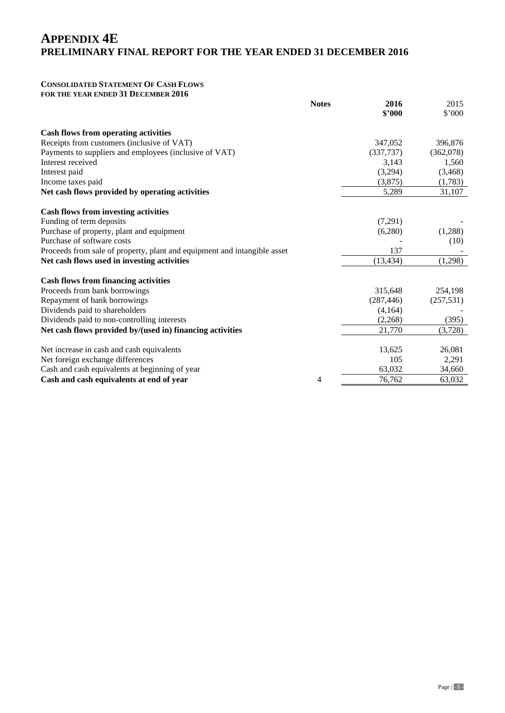### **CONSOLIDATED STATEMENT OF CASH FLOWS**

**FOR THE YEAR ENDED 31 DECEMBER 2016**

|                                                                          | <b>Notes</b> | 2016<br>\$2000 | 2015<br>$$^{\circ}000$ |
|--------------------------------------------------------------------------|--------------|----------------|------------------------|
| <b>Cash flows from operating activities</b>                              |              |                |                        |
| Receipts from customers (inclusive of VAT)                               |              | 347,052        | 396,876                |
| Payments to suppliers and employees (inclusive of VAT)                   |              | (337, 737)     | (362,078)              |
| Interest received                                                        |              | 3,143          | 1,560                  |
| Interest paid                                                            |              | (3,294)        | (3, 468)               |
| Income taxes paid                                                        |              | (3,875)        | (1,783)                |
| Net cash flows provided by operating activities                          |              | 5,289          | 31,107                 |
| <b>Cash flows from investing activities</b>                              |              |                |                        |
| Funding of term deposits                                                 |              | (7,291)        |                        |
| Purchase of property, plant and equipment                                |              | (6,280)        | (1,288)                |
| Purchase of software costs                                               |              |                | (10)                   |
| Proceeds from sale of property, plant and equipment and intangible asset |              | 137            |                        |
| Net cash flows used in investing activities                              |              | (13, 434)      | (1,298)                |
| <b>Cash flows from financing activities</b>                              |              |                |                        |
| Proceeds from bank borrowings                                            |              | 315,648        | 254,198                |
| Repayment of bank borrowings                                             |              | (287, 446)     | (257, 531)             |
| Dividends paid to shareholders                                           |              | (4,164)        |                        |
| Dividends paid to non-controlling interests                              |              | (2,268)        | (395)                  |
| Net cash flows provided by/(used in) financing activities                |              | 21,770         | (3,728)                |
| Net increase in cash and cash equivalents                                |              | 13,625         | 26,081                 |
| Net foreign exchange differences                                         |              | 105            | 2,291                  |
| Cash and cash equivalents at beginning of year                           |              | 63,032         | 34,660                 |
| Cash and cash equivalents at end of year                                 | 4            | 76,762         | 63,032                 |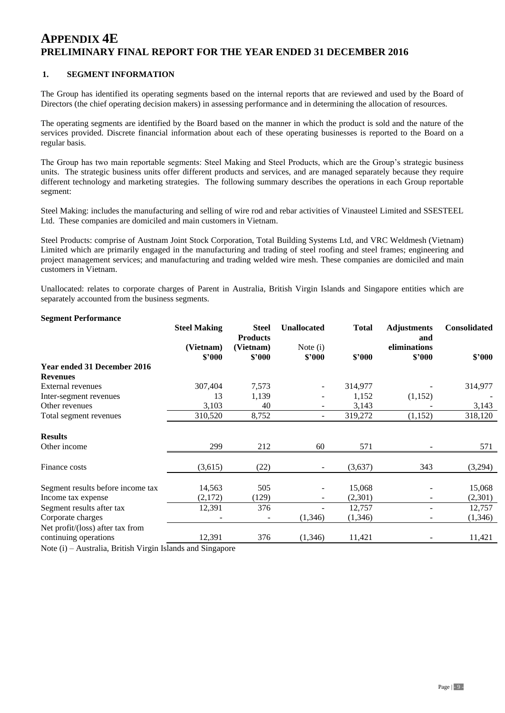#### **1. SEGMENT INFORMATION**

The Group has identified its operating segments based on the internal reports that are reviewed and used by the Board of Directors (the chief operating decision makers) in assessing performance and in determining the allocation of resources.

The operating segments are identified by the Board based on the manner in which the product is sold and the nature of the services provided. Discrete financial information about each of these operating businesses is reported to the Board on a regular basis.

The Group has two main reportable segments: Steel Making and Steel Products, which are the Group's strategic business units. The strategic business units offer different products and services, and are managed separately because they require different technology and marketing strategies. The following summary describes the operations in each Group reportable segment:

Steel Making: includes the manufacturing and selling of wire rod and rebar activities of Vinausteel Limited and SSESTEEL Ltd. These companies are domiciled and main customers in Vietnam.

Steel Products: comprise of Austnam Joint Stock Corporation, Total Building Systems Ltd, and VRC Weldmesh (Vietnam) Limited which are primarily engaged in the manufacturing and trading of steel roofing and steel frames; engineering and project management services; and manufacturing and trading welded wire mesh. These companies are domiciled and main customers in Vietnam.

Unallocated: relates to corporate charges of Parent in Australia, British Virgin Islands and Singapore entities which are separately accounted from the business segments.

| <b>Segment Performance</b>        |                     |                                 |                    |              |                           |                     |
|-----------------------------------|---------------------|---------------------------------|--------------------|--------------|---------------------------|---------------------|
|                                   | <b>Steel Making</b> | <b>Steel</b><br><b>Products</b> | <b>Unallocated</b> | <b>Total</b> | <b>Adjustments</b><br>and | <b>Consolidated</b> |
|                                   | (Vietnam)           | (Vietnam)                       | Note $(i)$         |              | eliminations              |                     |
|                                   | \$2000              | \$2000                          | \$2000             | \$2000       | \$2000                    | \$2000              |
| Year ended 31 December 2016       |                     |                                 |                    |              |                           |                     |
| <b>Revenues</b>                   |                     |                                 |                    |              |                           |                     |
| <b>External revenues</b>          | 307,404             | 7,573                           | -                  | 314,977      |                           | 314,977             |
| Inter-segment revenues            | 13                  | 1,139                           | ۰                  | 1,152        | (1,152)                   |                     |
| Other revenues                    | 3,103               | 40                              |                    | 3,143        |                           | 3,143               |
| Total segment revenues            | 310,520             | 8,752                           |                    | 319,272      | (1,152)                   | 318,120             |
| <b>Results</b>                    |                     |                                 |                    |              |                           |                     |
| Other income                      | 299                 | 212                             | 60                 | 571          |                           | 571                 |
| Finance costs                     | (3,615)             | (22)                            |                    | (3,637)      | 343                       | (3,294)             |
| Segment results before income tax | 14,563              | 505                             |                    | 15,068       |                           | 15,068              |
| Income tax expense                | (2,172)             | (129)                           | ۰                  | (2,301)      |                           | (2,301)             |
| Segment results after tax         | 12,391              | 376                             |                    | 12,757       |                           | 12,757              |
| Corporate charges                 |                     |                                 | (1,346)            | (1,346)      |                           | (1,346)             |
| Net profit/(loss) after tax from  |                     |                                 |                    |              |                           |                     |
| continuing operations             | 12,391              | 376                             | (1,346)            | 11,421       |                           | 11,421              |
|                                   |                     |                                 |                    |              |                           |                     |

Note (i) – Australia, British Virgin Islands and Singapore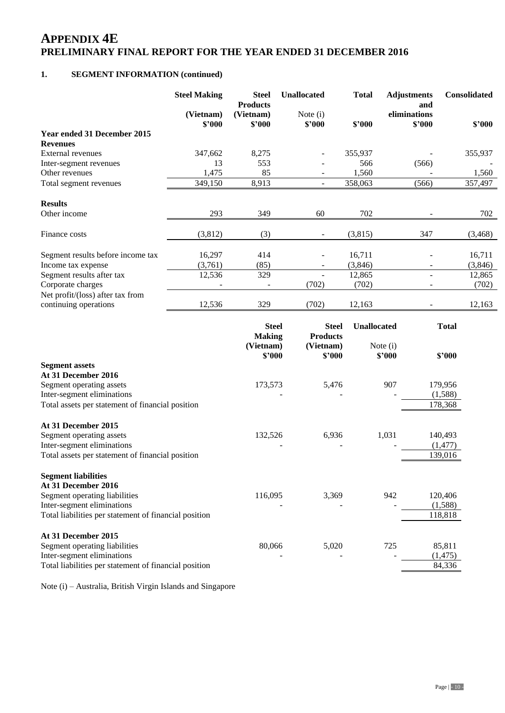### **1. SEGMENT INFORMATION (continued)**

|                                                  | <b>Steel Making</b> | <b>Steel</b><br><b>Products</b> | <b>Unallocated</b>              | <b>Total</b>       | <b>Adjustments</b><br>and | Consolidated |
|--------------------------------------------------|---------------------|---------------------------------|---------------------------------|--------------------|---------------------------|--------------|
|                                                  | (Vietnam)<br>\$2000 | (Vietnam)<br>\$2000             | Note $(i)$<br>\$2000            | \$2000             | eliminations<br>\$2000    | \$2000       |
| Year ended 31 December 2015<br><b>Revenues</b>   |                     |                                 |                                 |                    |                           |              |
| <b>External revenues</b>                         | 347,662             | 8,275                           |                                 | 355,937            |                           | 355,937      |
| Inter-segment revenues                           | 13                  | 553                             |                                 | 566                | (566)                     |              |
| Other revenues                                   | 1,475               | 85                              | $\blacksquare$                  | 1,560              |                           | 1,560        |
| Total segment revenues                           | 349,150             | 8,913                           | $\equiv$                        | 358,063            | (566)                     | 357,497      |
| <b>Results</b>                                   |                     |                                 |                                 |                    |                           |              |
| Other income                                     | 293                 | 349                             | 60                              | 702                |                           | 702          |
| Finance costs                                    | (3,812)             | (3)                             | $\overline{\phantom{a}}$        | (3,815)            | 347                       | (3,468)      |
| Segment results before income tax                | 16,297              | 414                             |                                 | 16,711             |                           | 16,711       |
| Income tax expense                               | (3,761)             | (85)                            |                                 | (3,846)            |                           | (3,846)      |
| Segment results after tax                        | 12,536              | 329                             |                                 | 12,865             |                           | 12,865       |
| Corporate charges                                |                     |                                 | (702)                           | (702)              | $\overline{\phantom{a}}$  | (702)        |
| Net profit/(loss) after tax from                 |                     |                                 |                                 |                    |                           |              |
| continuing operations                            | 12,536              | 329                             | (702)                           | 12,163             |                           | 12,163       |
|                                                  |                     | <b>Steel</b><br><b>Making</b>   | <b>Steel</b><br><b>Products</b> | <b>Unallocated</b> |                           | <b>Total</b> |
|                                                  |                     | (Vietnam)                       | (Vietnam)                       |                    | Note $(i)$<br>\$2000      |              |
| <b>Segment assets</b>                            |                     | \$'000                          | \$'000                          |                    |                           | \$2000       |
| At 31 December 2016                              |                     |                                 |                                 |                    |                           |              |
| Segment operating assets                         |                     | 173,573                         | 5,476                           |                    | 907                       | 179,956      |
| Inter-segment eliminations                       |                     |                                 |                                 |                    |                           | (1,588)      |
| Total assets per statement of financial position |                     |                                 |                                 |                    |                           | 178,368      |
| At 31 December 2015                              |                     |                                 |                                 |                    |                           |              |
| Segment operating assets                         |                     | 132,526                         | 6,936                           |                    | 1,031                     | 140,493      |
| Inter-segment eliminations                       |                     |                                 |                                 |                    |                           | (1, 477)     |
| Total assets per statement of financial position |                     |                                 |                                 |                    |                           | 139,016      |

| <b>Segment liabilities</b> |  |
|----------------------------|--|
|                            |  |

Total assets per statement of financial position

| 116,095 | 3,369 | 942 | 120,406  |
|---------|-------|-----|----------|
|         |       |     | (1,588)  |
|         |       |     | 118,818  |
|         |       |     |          |
|         |       |     |          |
| 80,066  | 5.020 | 725 | 85,811   |
|         |       |     | (1, 475) |
|         |       |     | 84,336   |
|         |       |     |          |

Note (i) – Australia, British Virgin Islands and Singapore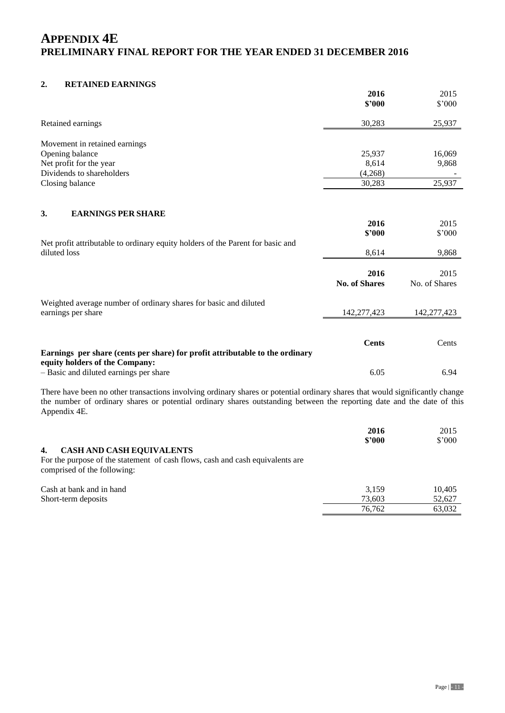#### **2. RETAINED EARNINGS**

|                                                                                | 2016                         | 2015          |
|--------------------------------------------------------------------------------|------------------------------|---------------|
|                                                                                | \$2000                       | \$'000        |
| Retained earnings                                                              | 30,283                       | 25,937        |
| Movement in retained earnings                                                  |                              |               |
| Opening balance                                                                | 25,937                       | 16,069        |
| Net profit for the year                                                        | 8,614                        | 9,868         |
| Dividends to shareholders                                                      | (4,268)                      |               |
| Closing balance                                                                | 30,283                       | 25,937        |
|                                                                                |                              |               |
| <b>EARNINGS PER SHARE</b><br>3.                                                |                              |               |
|                                                                                | 2016                         | 2015          |
|                                                                                | \$'000                       | \$'000        |
| Net profit attributable to ordinary equity holders of the Parent for basic and |                              |               |
| diluted loss                                                                   | 8,614                        | 9,868         |
|                                                                                |                              |               |
|                                                                                | 2016<br><b>No. of Shares</b> | 2015          |
|                                                                                |                              | No. of Shares |
| Weighted average number of ordinary shares for basic and diluted               |                              |               |
| earnings per share                                                             | 142,277,423                  | 142,277,423   |
|                                                                                |                              |               |
|                                                                                |                              |               |
| Earnings per share (cents per share) for profit attributable to the ordinary   | <b>Cents</b>                 | Cents         |
| equity holders of the Company:                                                 |                              |               |
| - Basic and diluted earnings per share                                         | 6.05                         | 6.94          |
|                                                                                |                              |               |

There have been no other transactions involving ordinary shares or potential ordinary shares that would significantly change the number of ordinary shares or potential ordinary shares outstanding between the reporting date and the date of this Appendix 4E.

|                                                                               | 2016   | 2015           |
|-------------------------------------------------------------------------------|--------|----------------|
|                                                                               | \$2000 | $$^{\circ}000$ |
| <b>CASH AND CASH EQUIVALENTS</b><br>4.                                        |        |                |
| For the purpose of the statement of cash flows, cash and cash equivalents are |        |                |
| comprised of the following:                                                   |        |                |
| Cash at bank and in hand                                                      | 3.159  | 10.405         |
| Short-term deposits                                                           | 73.603 | 52,627         |
|                                                                               | 76.762 | 63,032         |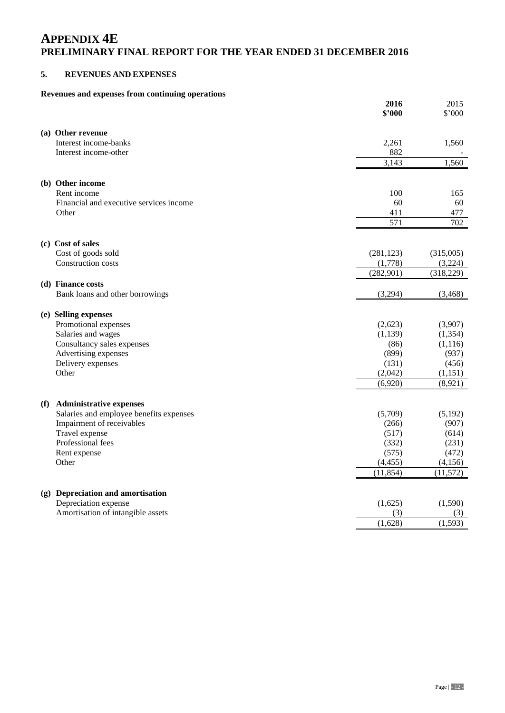### **5. REVENUES AND EXPENSES**

# **Revenues and expenses from continuing operations**

|                                                                                  | 2016<br>\$'000 | 2015<br>$$^{\circ}000$ |
|----------------------------------------------------------------------------------|----------------|------------------------|
| (a) Other revenue                                                                |                |                        |
| Interest income-banks                                                            | 2,261          | 1,560                  |
| Interest income-other                                                            | 882            |                        |
|                                                                                  | 3,143          | 1,560                  |
|                                                                                  |                |                        |
| (b) Other income                                                                 |                |                        |
| Rent income                                                                      | 100            | 165                    |
| Financial and executive services income                                          | 60             | 60                     |
| Other                                                                            | 411            | 477                    |
|                                                                                  | 571            | 702                    |
| (c) Cost of sales                                                                |                |                        |
| Cost of goods sold                                                               | (281, 123)     | (315,005)              |
| Construction costs                                                               | (1,778)        | (3,224)                |
|                                                                                  | (282, 901)     | (318, 229)             |
| (d) Finance costs                                                                |                |                        |
| Bank loans and other borrowings                                                  | (3,294)        | (3,468)                |
| (e) Selling expenses                                                             |                |                        |
| Promotional expenses                                                             | (2,623)        | (3,907)                |
| Salaries and wages                                                               | (1, 139)       | (1, 354)               |
| Consultancy sales expenses                                                       | (86)           | (1, 116)               |
| Advertising expenses                                                             | (899)          | (937)                  |
| Delivery expenses                                                                | (131)          | (456)                  |
| Other                                                                            | (2,042)        | (1, 151)               |
|                                                                                  | (6,920)        | (8,921)                |
|                                                                                  |                |                        |
| <b>Administrative expenses</b><br>(f)<br>Salaries and employee benefits expenses | (5,709)        | (5,192)                |
| Impairment of receivables                                                        | (266)          | (907)                  |
| Travel expense                                                                   | (517)          | (614)                  |
| Professional fees                                                                | (332)          | (231)                  |
| Rent expense                                                                     | (575)          | (472)                  |
| Other                                                                            | (4, 455)       | (4,156)                |
|                                                                                  | (11, 854)      | (11, 572)              |
|                                                                                  |                |                        |
| (g) Depreciation and amortisation                                                |                | (1,590)                |
| Depreciation expense<br>Amortisation of intangible assets                        | (1,625)<br>(3) |                        |
|                                                                                  | (1,628)        | (3)<br>(1, 593)        |
|                                                                                  |                |                        |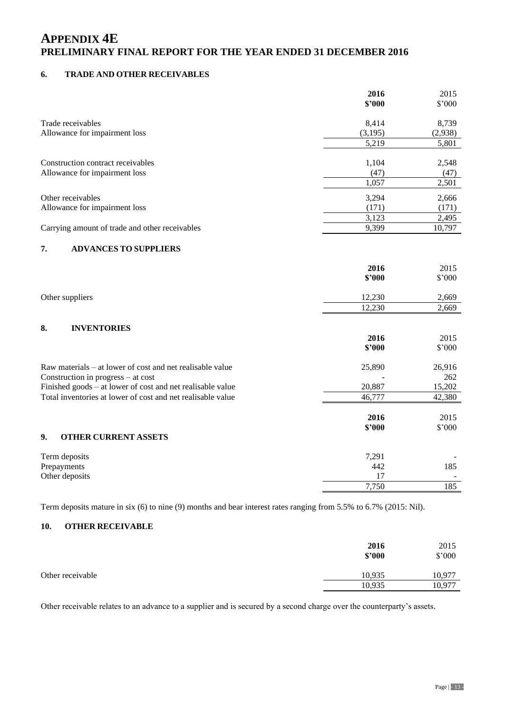### **6. TRADE AND OTHER RECEIVABLES**

|                                                             | 2016<br>\$2000 | 2015<br>\$'000 |
|-------------------------------------------------------------|----------------|----------------|
| Trade receivables                                           | 8,414          | 8,739          |
| Allowance for impairment loss                               | (3,195)        | (2,938)        |
|                                                             | 5,219          | 5,801          |
| Construction contract receivables                           | 1,104          | 2,548          |
| Allowance for impairment loss                               | (47)           | (47)           |
|                                                             | 1,057          | 2,501          |
| Other receivables                                           | 3,294          | 2,666          |
| Allowance for impairment loss                               | (171)          | (171)          |
|                                                             | 3,123          | 2,495          |
| Carrying amount of trade and other receivables              | 9,399          | 10,797         |
| 7.<br><b>ADVANCES TO SUPPLIERS</b>                          |                |                |
|                                                             | 2016           | 2015           |
|                                                             | \$2000         | \$'000         |
| Other suppliers                                             | 12,230         | 2,669          |
|                                                             | 12,230         | 2,669          |
| 8.<br><b>INVENTORIES</b>                                    |                |                |
|                                                             | 2016           | 2015           |
|                                                             | \$2000         | \$'000         |
| Raw materials – at lower of cost and net realisable value   | 25,890         | 26,916         |
| Construction in progress – at cost                          |                | 262            |
| Finished goods - at lower of cost and net realisable value  | 20,887         | 15,202         |
| Total inventories at lower of cost and net realisable value | 46,777         | 42,380         |
|                                                             | 2016           | 2015           |
|                                                             | \$2000         | \$'000         |
| 9.<br><b>OTHER CURRENT ASSETS</b>                           |                |                |
| Term deposits                                               | 7,291          |                |
| Prepayments                                                 | 442            | 185            |
| Other deposits                                              | 17             |                |
|                                                             | 7,750          | 185            |

Term deposits mature in six (6) to nine (9) months and bear interest rates ranging from 5.5% to 6.7% (2015: Nil).

### **10. OTHER RECEIVABLE**

|                  | 2016<br>\$2000   | 2015<br>$$^{\circ}000$ |
|------------------|------------------|------------------------|
| Other receivable | 10,935<br>10,935 | 10,977<br>10,977       |

Other receivable relates to an advance to a supplier and is secured by a second charge over the counterparty's assets.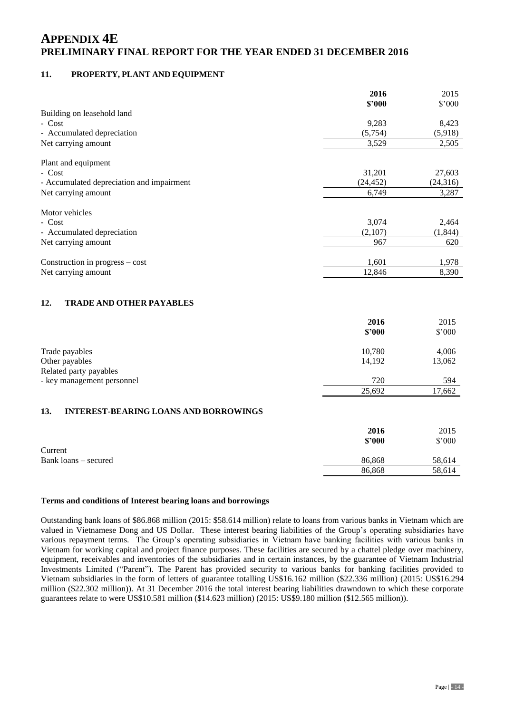### **11. PROPERTY, PLANT AND EQUIPMENT**

|                                                     | 2016             | 2015           |
|-----------------------------------------------------|------------------|----------------|
|                                                     | \$2000           | \$'000         |
| Building on leasehold land                          |                  |                |
| - Cost                                              | 9,283<br>(5,754) | 8,423          |
| - Accumulated depreciation                          |                  | (5,918)        |
| Net carrying amount                                 | 3,529            | 2,505          |
| Plant and equipment                                 |                  |                |
| - Cost                                              | 31,201           | 27,603         |
| - Accumulated depreciation and impairment           | (24, 452)        | (24, 316)      |
| Net carrying amount                                 | 6,749            | 3,287          |
| Motor vehicles                                      |                  |                |
| - Cost                                              | 3,074            | 2,464          |
| - Accumulated depreciation                          | (2,107)          | (1,844)        |
| Net carrying amount                                 | 967              | 620            |
|                                                     |                  |                |
| Construction in progress – cost                     | 1,601            | 1,978          |
| Net carrying amount                                 | 12,846           | 8,390          |
| 12.<br><b>TRADE AND OTHER PAYABLES</b>              |                  |                |
|                                                     | 2016             | 2015           |
|                                                     | \$2000           | \$'000         |
| Trade payables                                      | 10,780           | 4,006          |
| Other payables                                      | 14,192           | 13,062         |
| Related party payables                              |                  |                |
| - key management personnel                          | 720              | 594            |
|                                                     | 25,692           | 17,662         |
| <b>INTEREST-BEARING LOANS AND BORROWINGS</b><br>13. |                  |                |
|                                                     |                  |                |
|                                                     | 2016<br>\$2000   | 2015<br>\$'000 |
| Current                                             |                  |                |
| Bank loans – secured                                | 86,868           | 58,614         |

#### **Terms and conditions of Interest bearing loans and borrowings**

Outstanding bank loans of \$86.868 million (2015: \$58.614 million) relate to loans from various banks in Vietnam which are valued in Vietnamese Dong and US Dollar. These interest bearing liabilities of the Group's operating subsidiaries have various repayment terms. The Group's operating subsidiaries in Vietnam have banking facilities with various banks in Vietnam for working capital and project finance purposes. These facilities are secured by a chattel pledge over machinery, equipment, receivables and inventories of the subsidiaries and in certain instances, by the guarantee of Vietnam Industrial Investments Limited ("Parent"). The Parent has provided security to various banks for banking facilities provided to Vietnam subsidiaries in the form of letters of guarantee totalling US\$16.162 million (\$22.336 million) (2015: US\$16.294 million (\$22.302 million)). At 31 December 2016 the total interest bearing liabilities drawndown to which these corporate guarantees relate to were US\$10.581 million (\$14.623 million) (2015: US\$9.180 million (\$12.565 million)).

86,868 58,614